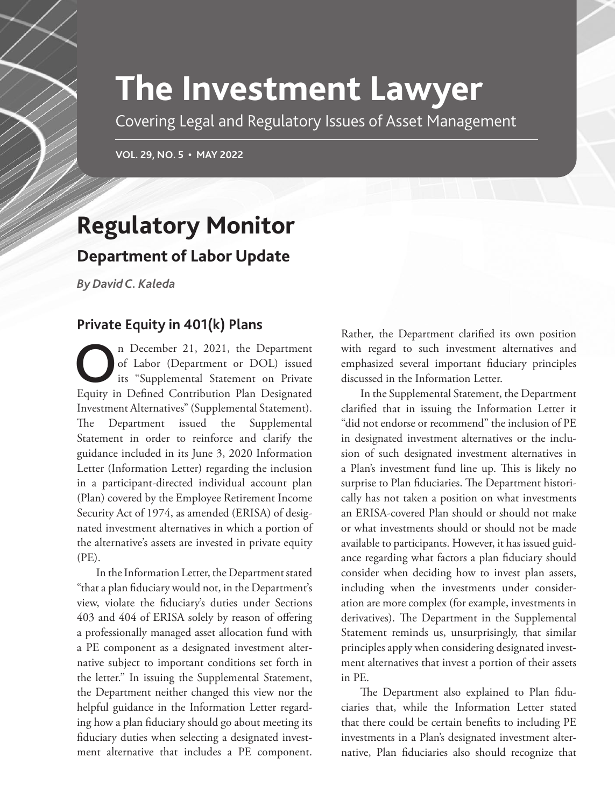## **The Investment Lawyer**

Covering Legal and Regulatory Issues of Asset Management

**VOL. 29, NO. 5 • MAY 2022**

## **Regulatory Monitor**

## **Department of Labor Update**

*By David C. Kaleda*

## **Private Equity in 401(k) Plans**

On December 21, 2021, the Department<br>
of Labor (Department or DOL) issued<br>
its "Supplemental Statement on Private<br>
Fauity in Defined Contribution Plan Decimated of Labor (Department or DOL) issued Equity in Defined Contribution Plan Designated Investment Alternatives" (Supplemental Statement). The Department issued the Supplemental Statement in order to reinforce and clarify the guidance included in its June 3, 2020 Information Letter (Information Letter) regarding the inclusion in a participant-directed individual account plan (Plan) covered by the Employee Retirement Income Security Act of 1974, as amended (ERISA) of designated investment alternatives in which a portion of the alternative's assets are invested in private equity (PE).

In the Information Letter, the Department stated "that a plan fiduciary would not, in the Department's view, violate the fiduciary's duties under Sections 403 and 404 of ERISA solely by reason of offering a professionally managed asset allocation fund with a PE component as a designated investment alternative subject to important conditions set forth in the letter." In issuing the Supplemental Statement, the Department neither changed this view nor the helpful guidance in the Information Letter regarding how a plan fiduciary should go about meeting its fiduciary duties when selecting a designated investment alternative that includes a PE component.

Rather, the Department clarified its own position with regard to such investment alternatives and emphasized several important fiduciary principles discussed in the Information Letter.

In the Supplemental Statement, the Department clarified that in issuing the Information Letter it "did not endorse or recommend" the inclusion of PE in designated investment alternatives or the inclusion of such designated investment alternatives in a Plan's investment fund line up. This is likely no surprise to Plan fiduciaries. The Department historically has not taken a position on what investments an ERISA-covered Plan should or should not make or what investments should or should not be made available to participants. However, it has issued guidance regarding what factors a plan fiduciary should consider when deciding how to invest plan assets, including when the investments under consideration are more complex (for example, investments in derivatives). The Department in the Supplemental Statement reminds us, unsurprisingly, that similar principles apply when considering designated investment alternatives that invest a portion of their assets in PE.

The Department also explained to Plan fiduciaries that, while the Information Letter stated that there could be certain benefits to including PE investments in a Plan's designated investment alternative, Plan fiduciaries also should recognize that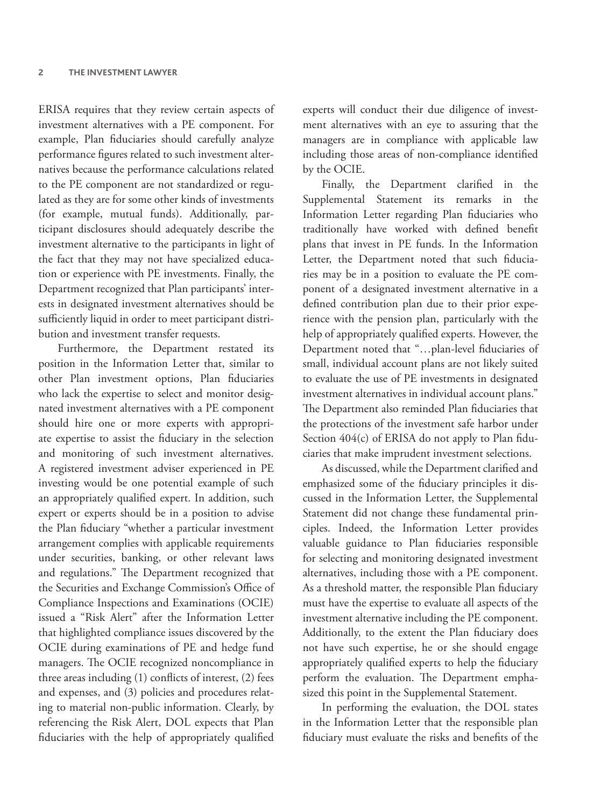ERISA requires that they review certain aspects of investment alternatives with a PE component. For example, Plan fiduciaries should carefully analyze performance figures related to such investment alternatives because the performance calculations related to the PE component are not standardized or regulated as they are for some other kinds of investments (for example, mutual funds). Additionally, participant disclosures should adequately describe the investment alternative to the participants in light of the fact that they may not have specialized education or experience with PE investments. Finally, the Department recognized that Plan participants' interests in designated investment alternatives should be sufficiently liquid in order to meet participant distribution and investment transfer requests.

Furthermore, the Department restated its position in the Information Letter that, similar to other Plan investment options, Plan fiduciaries who lack the expertise to select and monitor designated investment alternatives with a PE component should hire one or more experts with appropriate expertise to assist the fiduciary in the selection and monitoring of such investment alternatives. A registered investment adviser experienced in PE investing would be one potential example of such an appropriately qualified expert. In addition, such expert or experts should be in a position to advise the Plan fiduciary "whether a particular investment arrangement complies with applicable requirements under securities, banking, or other relevant laws and regulations." The Department recognized that the Securities and Exchange Commission's Office of Compliance Inspections and Examinations (OCIE) issued a "Risk Alert" after the Information Letter that highlighted compliance issues discovered by the OCIE during examinations of PE and hedge fund managers. The OCIE recognized noncompliance in three areas including (1) conflicts of interest, (2) fees and expenses, and (3) policies and procedures relating to material non-public information. Clearly, by referencing the Risk Alert, DOL expects that Plan fiduciaries with the help of appropriately qualified

experts will conduct their due diligence of investment alternatives with an eye to assuring that the managers are in compliance with applicable law including those areas of non-compliance identified by the OCIE.

Finally, the Department clarified in the Supplemental Statement its remarks in the Information Letter regarding Plan fiduciaries who traditionally have worked with defined benefit plans that invest in PE funds. In the Information Letter, the Department noted that such fiduciaries may be in a position to evaluate the PE component of a designated investment alternative in a defined contribution plan due to their prior experience with the pension plan, particularly with the help of appropriately qualified experts. However, the Department noted that "…plan-level fiduciaries of small, individual account plans are not likely suited to evaluate the use of PE investments in designated investment alternatives in individual account plans." The Department also reminded Plan fiduciaries that the protections of the investment safe harbor under Section 404(c) of ERISA do not apply to Plan fiduciaries that make imprudent investment selections.

As discussed, while the Department clarified and emphasized some of the fiduciary principles it discussed in the Information Letter, the Supplemental Statement did not change these fundamental principles. Indeed, the Information Letter provides valuable guidance to Plan fiduciaries responsible for selecting and monitoring designated investment alternatives, including those with a PE component. As a threshold matter, the responsible Plan fiduciary must have the expertise to evaluate all aspects of the investment alternative including the PE component. Additionally, to the extent the Plan fiduciary does not have such expertise, he or she should engage appropriately qualified experts to help the fiduciary perform the evaluation. The Department emphasized this point in the Supplemental Statement.

In performing the evaluation, the DOL states in the Information Letter that the responsible plan fiduciary must evaluate the risks and benefits of the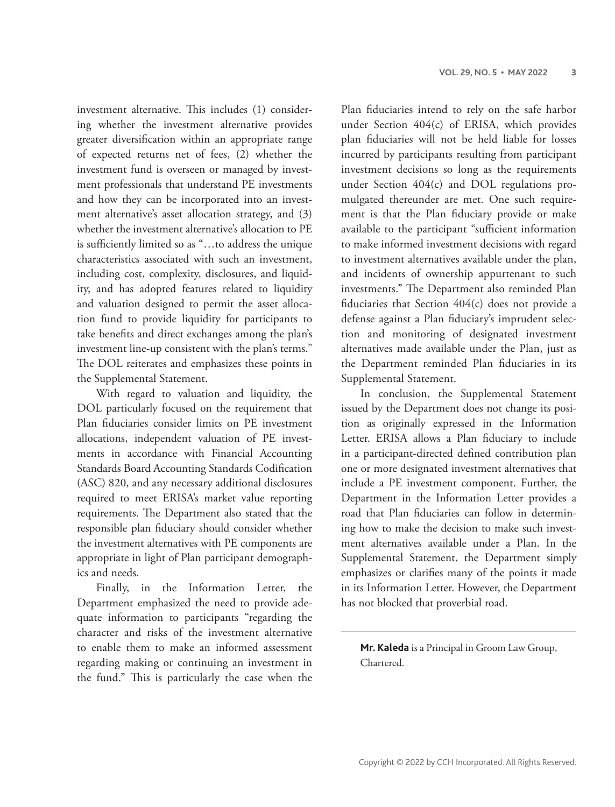investment alternative. This includes (1) considering whether the investment alternative provides greater diversification within an appropriate range of expected returns net of fees, (2) whether the investment fund is overseen or managed by investment professionals that understand PE investments and how they can be incorporated into an investment alternative's asset allocation strategy, and (3) whether the investment alternative's allocation to PE is sufficiently limited so as "…to address the unique characteristics associated with such an investment, including cost, complexity, disclosures, and liquidity, and has adopted features related to liquidity and valuation designed to permit the asset allocation fund to provide liquidity for participants to take benefits and direct exchanges among the plan's investment line-up consistent with the plan's terms." The DOL reiterates and emphasizes these points in the Supplemental Statement.

With regard to valuation and liquidity, the DOL particularly focused on the requirement that Plan fiduciaries consider limits on PE investment allocations, independent valuation of PE investments in accordance with Financial Accounting Standards Board Accounting Standards Codification (ASC) 820, and any necessary additional disclosures required to meet ERISA's market value reporting requirements. The Department also stated that the responsible plan fiduciary should consider whether the investment alternatives with PE components are appropriate in light of Plan participant demographics and needs.

Finally, in the Information Letter, the Department emphasized the need to provide adequate information to participants "regarding the character and risks of the investment alternative to enable them to make an informed assessment regarding making or continuing an investment in the fund." This is particularly the case when the Plan fiduciaries intend to rely on the safe harbor under Section 404(c) of ERISA, which provides plan fiduciaries will not be held liable for losses incurred by participants resulting from participant investment decisions so long as the requirements under Section 404(c) and DOL regulations promulgated thereunder are met. One such requirement is that the Plan fiduciary provide or make available to the participant "sufficient information to make informed investment decisions with regard to investment alternatives available under the plan, and incidents of ownership appurtenant to such investments." The Department also reminded Plan fiduciaries that Section 404(c) does not provide a defense against a Plan fiduciary's imprudent selection and monitoring of designated investment alternatives made available under the Plan, just as the Department reminded Plan fiduciaries in its Supplemental Statement.

In conclusion, the Supplemental Statement issued by the Department does not change its position as originally expressed in the Information Letter. ERISA allows a Plan fiduciary to include in a participant-directed defined contribution plan one or more designated investment alternatives that include a PE investment component. Further, the Department in the Information Letter provides a road that Plan fiduciaries can follow in determining how to make the decision to make such investment alternatives available under a Plan. In the Supplemental Statement, the Department simply emphasizes or clarifies many of the points it made in its Information Letter. However, the Department has not blocked that proverbial road.

**Mr. Kaleda** is a Principal in Groom Law Group, Chartered.